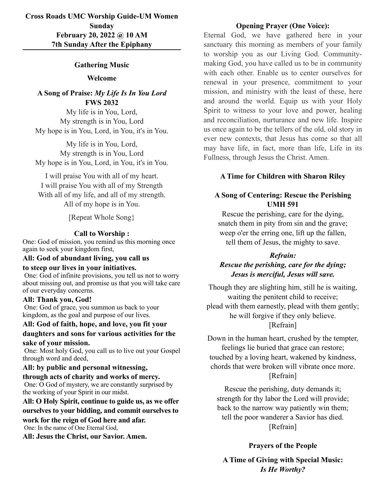## **Gathering Music**

### **Welcome**

**A Song of Praise:** *My Life Is In You Lord* **FWS 2032**

My life is in You, Lord, My strength is in You, Lord My hope is in You, Lord, in You, it's in You.

My life is in You, Lord, My strength is in You, Lord My hope is in You, Lord, in You, it's in You.

I will praise You with all of my heart. I will praise You with all of my Strength With all of my life, and all of my strength. All of my hope is in You.

[Repeat Whole Song}

#### **Call to Worship :**

One: God of mission, you remind us this morning once again to seek your kingdom first,

### **All: God of abundant living, you call us to steep our lives in your initiatives.**

 One: God of infinite provisions, you tell us not to worry about missing out, and promise us that you will take care of our everyday concerns.

### **All: Thank you, God!**

 One: God of grace, you summon us back to your kingdom, as the goal and purpose of our lives.

# **All: God of faith, hope, and love, you fit your daughters and sons for various activities for the**

#### **sake of your mission.**

 One: Most holy God, you call us to live out your Gospel through word and deed,

#### **All: by public and personal witnessing,**

**through acts of charity and works of mercy.** One: O God of mystery, we are constantly surprised by the working of your Spirit in our midst.

**All: O Holy Spirit, continue to guide us, as we offer ourselves to your bidding, and commit ourselves to work for the reign of God here and afar.**

One: In the name of One Eternal God,

**All: Jesus the Christ, our Savior. Amen.**

## **Opening Prayer (One Voice):**

Eternal God, we have gathered here in your sanctuary this morning as members of your family to worship you as our Living God. Communitymaking God, you have called us to be in community with each other. Enable us to center ourselves for renewal in your presence, commitment to your mission, and ministry with the least of these, here and around the world. Equip us with your Holy Spirit to witness to your love and power, healing and reconciliation, nurturance and new life. Inspire us once again to be the tellers of the old, old story in ever new contexts, that Jesus has come so that all may have life, in fact, more than life, Life in its Fullness, through Jesus the Christ. Amen.

## **A Time for Children with Sharon Riley**

## **A Song of Centering: Rescue the Perishing UMH 591**

Rescue the perishing, care for the dying, snatch them in pity from sin and the grave; weep o'er the erring one, lift up the fallen, tell them of Jesus, the mighty to save.

## *Refrain:*

## *Rescue the perishing, care for the dying; Jesus is merciful, Jesus will save.*

Though they are slighting him, still he is waiting, waiting the penitent child to receive; plead with them earnestly, plead with them gently; he will forgive if they only believe. [Refrain]

Down in the human heart, crushed by the tempter, feelings lie buried that grace can restore; touched by a loving heart, wakened by kindness, chords that were broken will vibrate once more. [Refrain]

Rescue the perishing, duty demands it; strength for thy labor the Lord will provide; back to the narrow way patiently win them; tell the poor wanderer a Savior has died. [Refrain]

#### **Prayers of the People**

**A Time of Giving with Special Music:** *Is He Worthy?*